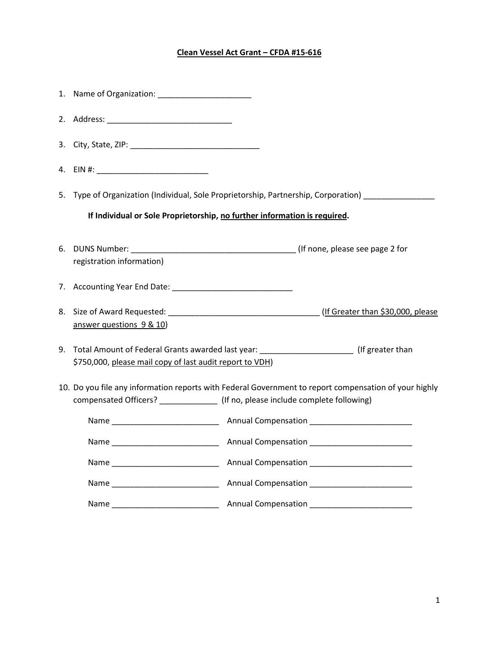## **Clean Vessel Act Grant – CFDA #15-616**

|                                                                                                                                                                                            |                                                                                                                                                         | 5. Type of Organization (Individual, Sole Proprietorship, Partnership, Corporation) |
|--------------------------------------------------------------------------------------------------------------------------------------------------------------------------------------------|---------------------------------------------------------------------------------------------------------------------------------------------------------|-------------------------------------------------------------------------------------|
|                                                                                                                                                                                            | If Individual or Sole Proprietorship, no further information is required.                                                                               |                                                                                     |
|                                                                                                                                                                                            | registration information)                                                                                                                               |                                                                                     |
|                                                                                                                                                                                            |                                                                                                                                                         |                                                                                     |
|                                                                                                                                                                                            | answer questions 9 & 10)                                                                                                                                |                                                                                     |
|                                                                                                                                                                                            | 9. Total Amount of Federal Grants awarded last year: ______________________(If greater than<br>\$750,000, please mail copy of last audit report to VDH) |                                                                                     |
| 10. Do you file any information reports with Federal Government to report compensation of your highly<br>compensated Officers? ________________ (If no, please include complete following) |                                                                                                                                                         |                                                                                     |
|                                                                                                                                                                                            |                                                                                                                                                         |                                                                                     |
|                                                                                                                                                                                            |                                                                                                                                                         |                                                                                     |
|                                                                                                                                                                                            |                                                                                                                                                         |                                                                                     |
|                                                                                                                                                                                            |                                                                                                                                                         |                                                                                     |
|                                                                                                                                                                                            |                                                                                                                                                         |                                                                                     |